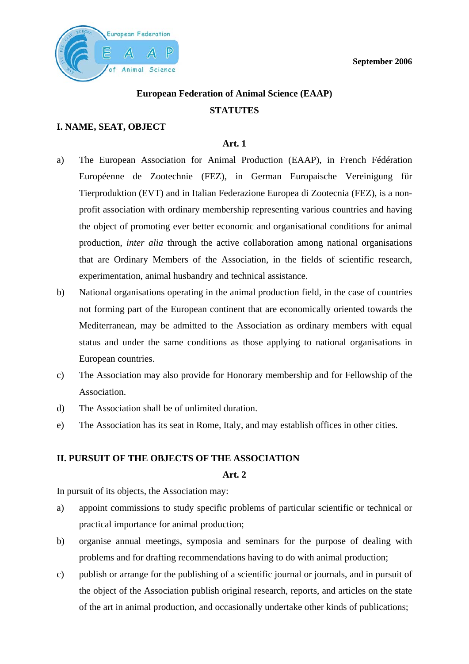**September 2006** 



# **European Federation of Animal Science (EAAP) STATUTES**

# **I. NAME, SEAT, OBJECT**

# **Art. 1**

- a) The European Association for Animal Production (EAAP), in French Fédération Européenne de Zootechnie (FEZ), in German Europaische Vereinigung für Tierproduktion (EVT) and in Italian Federazione Europea di Zootecnia (FEZ), is a nonprofit association with ordinary membership representing various countries and having the object of promoting ever better economic and organisational conditions for animal production, *inter alia* through the active collaboration among national organisations that are Ordinary Members of the Association, in the fields of scientific research, experimentation, animal husbandry and technical assistance.
- b) National organisations operating in the animal production field, in the case of countries not forming part of the European continent that are economically oriented towards the Mediterranean, may be admitted to the Association as ordinary members with equal status and under the same conditions as those applying to national organisations in European countries.
- c) The Association may also provide for Honorary membership and for Fellowship of the Association.
- d) The Association shall be of unlimited duration.
- e) The Association has its seat in Rome, Italy, and may establish offices in other cities.

# **II. PURSUIT OF THE OBJECTS OF THE ASSOCIATION**

# **Art. 2**

In pursuit of its objects, the Association may:

- a) appoint commissions to study specific problems of particular scientific or technical or practical importance for animal production;
- b) organise annual meetings, symposia and seminars for the purpose of dealing with problems and for drafting recommendations having to do with animal production;
- c) publish or arrange for the publishing of a scientific journal or journals, and in pursuit of the object of the Association publish original research, reports, and articles on the state of the art in animal production, and occasionally undertake other kinds of publications;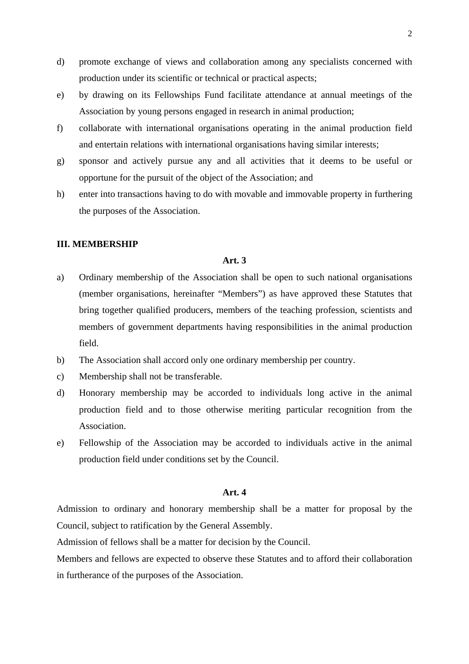- d) promote exchange of views and collaboration among any specialists concerned with production under its scientific or technical or practical aspects;
- e) by drawing on its Fellowships Fund facilitate attendance at annual meetings of the Association by young persons engaged in research in animal production;
- f) collaborate with international organisations operating in the animal production field and entertain relations with international organisations having similar interests;
- g) sponsor and actively pursue any and all activities that it deems to be useful or opportune for the pursuit of the object of the Association; and
- h) enter into transactions having to do with movable and immovable property in furthering the purposes of the Association.

#### **III. MEMBERSHIP**

#### **Art. 3**

- a) Ordinary membership of the Association shall be open to such national organisations (member organisations, hereinafter "Members") as have approved these Statutes that bring together qualified producers, members of the teaching profession, scientists and members of government departments having responsibilities in the animal production field.
- b) The Association shall accord only one ordinary membership per country.
- c) Membership shall not be transferable.
- d) Honorary membership may be accorded to individuals long active in the animal production field and to those otherwise meriting particular recognition from the Association.
- e) Fellowship of the Association may be accorded to individuals active in the animal production field under conditions set by the Council.

#### **Art. 4**

Admission to ordinary and honorary membership shall be a matter for proposal by the Council, subject to ratification by the General Assembly.

Admission of fellows shall be a matter for decision by the Council.

Members and fellows are expected to observe these Statutes and to afford their collaboration in furtherance of the purposes of the Association.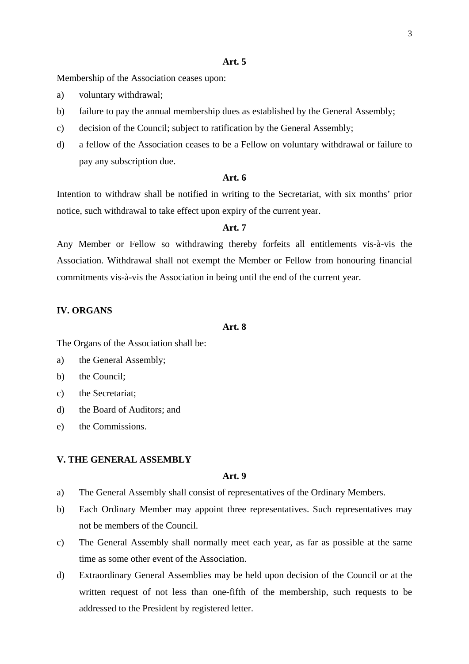#### **Art. 5**

Membership of the Association ceases upon:

- a) voluntary withdrawal;
- b) failure to pay the annual membership dues as established by the General Assembly;
- c) decision of the Council; subject to ratification by the General Assembly;
- d) a fellow of the Association ceases to be a Fellow on voluntary withdrawal or failure to pay any subscription due.

## **Art. 6**

Intention to withdraw shall be notified in writing to the Secretariat, with six months' prior notice, such withdrawal to take effect upon expiry of the current year.

#### **Art. 7**

Any Member or Fellow so withdrawing thereby forfeits all entitlements vis-à-vis the Association. Withdrawal shall not exempt the Member or Fellow from honouring financial commitments vis-à-vis the Association in being until the end of the current year.

# **IV. ORGANS**

## **Art. 8**

The Organs of the Association shall be:

- a) the General Assembly;
- b) the Council;
- c) the Secretariat;
- d) the Board of Auditors; and
- e) the Commissions.

#### **V. THE GENERAL ASSEMBLY**

#### **Art. 9**

- a) The General Assembly shall consist of representatives of the Ordinary Members.
- b) Each Ordinary Member may appoint three representatives. Such representatives may not be members of the Council.
- c) The General Assembly shall normally meet each year, as far as possible at the same time as some other event of the Association.
- d) Extraordinary General Assemblies may be held upon decision of the Council or at the written request of not less than one-fifth of the membership, such requests to be addressed to the President by registered letter.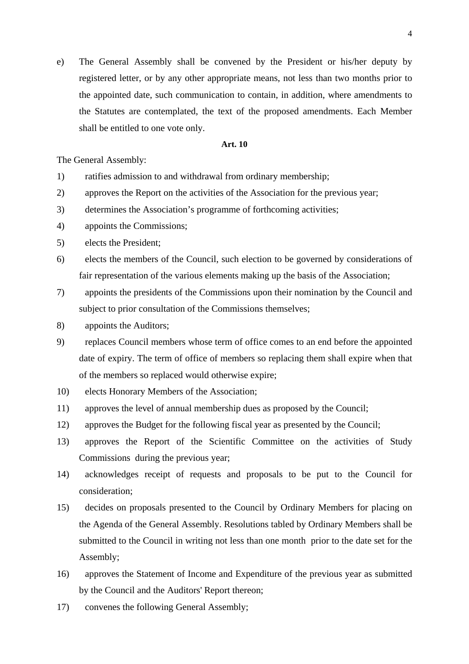e) The General Assembly shall be convened by the President or his/her deputy by registered letter, or by any other appropriate means, not less than two months prior to the appointed date, such communication to contain, in addition, where amendments to the Statutes are contemplated, the text of the proposed amendments. Each Member shall be entitled to one vote only.

#### **Art. 10**

The General Assembly:

- 1) ratifies admission to and withdrawal from ordinary membership;
- 2) approves the Report on the activities of the Association for the previous year;
- 3) determines the Association's programme of forthcoming activities;
- 4) appoints the Commissions;
- 5) elects the President;
- 6) elects the members of the Council, such election to be governed by considerations of fair representation of the various elements making up the basis of the Association;
- 7) appoints the presidents of the Commissions upon their nomination by the Council and subject to prior consultation of the Commissions themselves;
- 8) appoints the Auditors;
- 9) replaces Council members whose term of office comes to an end before the appointed date of expiry. The term of office of members so replacing them shall expire when that of the members so replaced would otherwise expire;
- 10) elects Honorary Members of the Association;
- 11) approves the level of annual membership dues as proposed by the Council;
- 12) approves the Budget for the following fiscal year as presented by the Council;
- 13) approves the Report of the Scientific Committee on the activities of Study Commissions during the previous year;
- 14) acknowledges receipt of requests and proposals to be put to the Council for consideration;
- 15) decides on proposals presented to the Council by Ordinary Members for placing on the Agenda of the General Assembly. Resolutions tabled by Ordinary Members shall be submitted to the Council in writing not less than one month prior to the date set for the Assembly;
- 16) approves the Statement of Income and Expenditure of the previous year as submitted by the Council and the Auditors' Report thereon;
- 17) convenes the following General Assembly;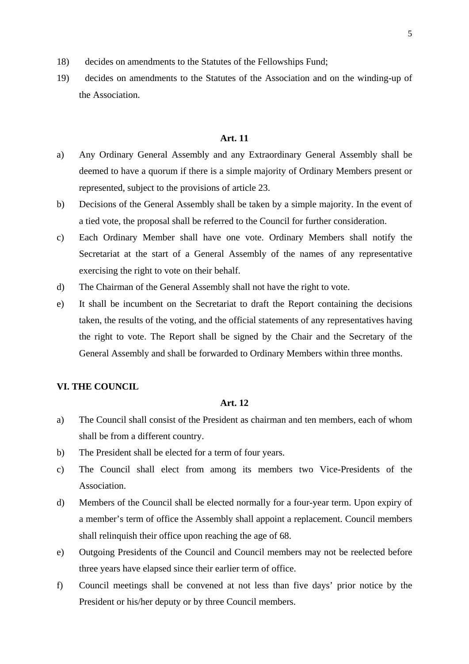- 18) decides on amendments to the Statutes of the Fellowships Fund;
- 19) decides on amendments to the Statutes of the Association and on the winding-up of the Association.

#### **Art. 11**

- a) Any Ordinary General Assembly and any Extraordinary General Assembly shall be deemed to have a quorum if there is a simple majority of Ordinary Members present or represented, subject to the provisions of article 23.
- b) Decisions of the General Assembly shall be taken by a simple majority. In the event of a tied vote, the proposal shall be referred to the Council for further consideration.
- c) Each Ordinary Member shall have one vote. Ordinary Members shall notify the Secretariat at the start of a General Assembly of the names of any representative exercising the right to vote on their behalf.
- d) The Chairman of the General Assembly shall not have the right to vote.
- e) It shall be incumbent on the Secretariat to draft the Report containing the decisions taken, the results of the voting, and the official statements of any representatives having the right to vote. The Report shall be signed by the Chair and the Secretary of the General Assembly and shall be forwarded to Ordinary Members within three months.

# **VI. THE COUNCIL**

# **Art. 12**

- a) The Council shall consist of the President as chairman and ten members, each of whom shall be from a different country.
- b) The President shall be elected for a term of four years.
- c) The Council shall elect from among its members two Vice-Presidents of the Association.
- d) Members of the Council shall be elected normally for a four-year term. Upon expiry of a member's term of office the Assembly shall appoint a replacement. Council members shall relinquish their office upon reaching the age of 68.
- e) Outgoing Presidents of the Council and Council members may not be reelected before three years have elapsed since their earlier term of office.
- f) Council meetings shall be convened at not less than five days' prior notice by the President or his/her deputy or by three Council members.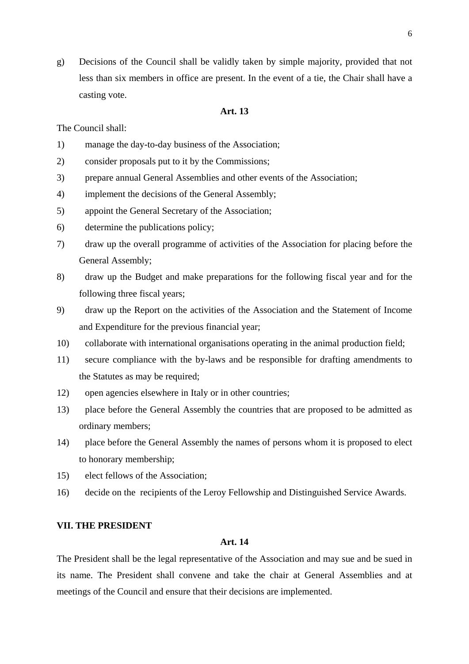g) Decisions of the Council shall be validly taken by simple majority, provided that not less than six members in office are present. In the event of a tie, the Chair shall have a casting vote.

# **Art. 13**

The Council shall:

- 1) manage the day-to-day business of the Association;
- 2) consider proposals put to it by the Commissions;
- 3) prepare annual General Assemblies and other events of the Association;
- 4) implement the decisions of the General Assembly;
- 5) appoint the General Secretary of the Association;
- 6) determine the publications policy;
- 7) draw up the overall programme of activities of the Association for placing before the General Assembly;
- 8) draw up the Budget and make preparations for the following fiscal year and for the following three fiscal years;
- 9) draw up the Report on the activities of the Association and the Statement of Income and Expenditure for the previous financial year;
- 10) collaborate with international organisations operating in the animal production field;
- 11) secure compliance with the by-laws and be responsible for drafting amendments to the Statutes as may be required;
- 12) open agencies elsewhere in Italy or in other countries;
- 13) place before the General Assembly the countries that are proposed to be admitted as ordinary members;
- 14) place before the General Assembly the names of persons whom it is proposed to elect to honorary membership;
- 15) elect fellows of the Association;
- 16) decide on the recipients of the Leroy Fellowship and Distinguished Service Awards.

# **VII. THE PRESIDENT**

## **Art. 14**

The President shall be the legal representative of the Association and may sue and be sued in its name. The President shall convene and take the chair at General Assemblies and at meetings of the Council and ensure that their decisions are implemented.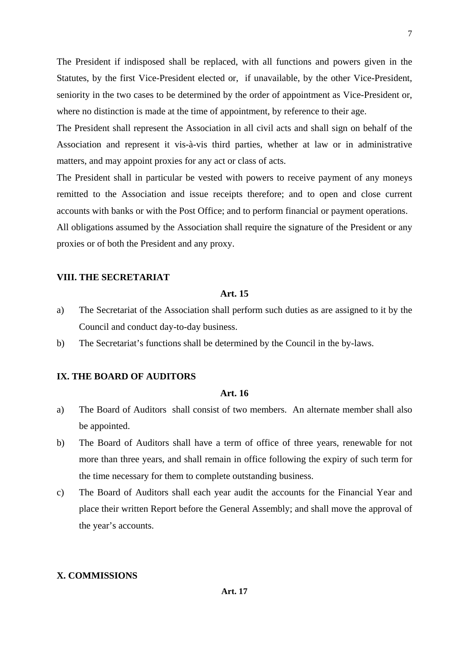The President if indisposed shall be replaced, with all functions and powers given in the Statutes, by the first Vice-President elected or, if unavailable, by the other Vice-President, seniority in the two cases to be determined by the order of appointment as Vice-President or, where no distinction is made at the time of appointment, by reference to their age.

The President shall represent the Association in all civil acts and shall sign on behalf of the Association and represent it vis-à-vis third parties, whether at law or in administrative matters, and may appoint proxies for any act or class of acts.

The President shall in particular be vested with powers to receive payment of any moneys remitted to the Association and issue receipts therefore; and to open and close current accounts with banks or with the Post Office; and to perform financial or payment operations.

All obligations assumed by the Association shall require the signature of the President or any proxies or of both the President and any proxy.

#### **VIII. THE SECRETARIAT**

# **Art. 15**

- a) The Secretariat of the Association shall perform such duties as are assigned to it by the Council and conduct day-to-day business.
- b) The Secretariat's functions shall be determined by the Council in the by-laws.

# **IX. THE BOARD OF AUDITORS**

## **Art. 16**

- a) The Board of Auditors shall consist of two members. An alternate member shall also be appointed.
- b) The Board of Auditors shall have a term of office of three years, renewable for not more than three years, and shall remain in office following the expiry of such term for the time necessary for them to complete outstanding business.
- c) The Board of Auditors shall each year audit the accounts for the Financial Year and place their written Report before the General Assembly; and shall move the approval of the year's accounts.

## **X. COMMISSIONS**

7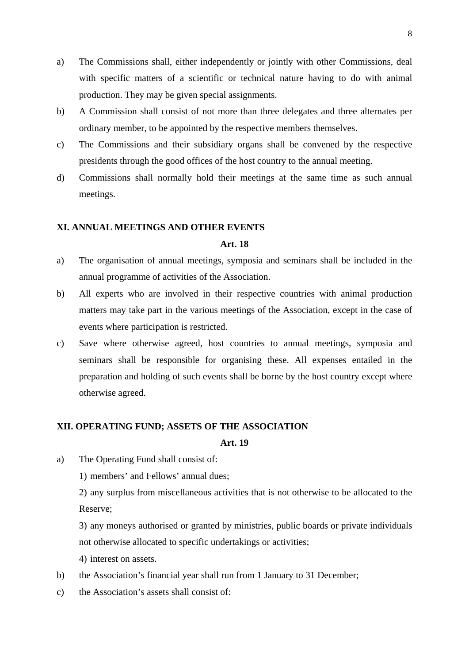- a) The Commissions shall, either independently or jointly with other Commissions, deal with specific matters of a scientific or technical nature having to do with animal production. They may be given special assignments.
- b) A Commission shall consist of not more than three delegates and three alternates per ordinary member, to be appointed by the respective members themselves.
- c) The Commissions and their subsidiary organs shall be convened by the respective presidents through the good offices of the host country to the annual meeting.
- d) Commissions shall normally hold their meetings at the same time as such annual meetings.

#### **XI. ANNUAL MEETINGS AND OTHER EVENTS**

#### **Art. 18**

- a) The organisation of annual meetings, symposia and seminars shall be included in the annual programme of activities of the Association.
- b) All experts who are involved in their respective countries with animal production matters may take part in the various meetings of the Association, except in the case of events where participation is restricted.
- c) Save where otherwise agreed, host countries to annual meetings, symposia and seminars shall be responsible for organising these. All expenses entailed in the preparation and holding of such events shall be borne by the host country except where otherwise agreed.

#### **XII. OPERATING FUND; ASSETS OF THE ASSOCIATION**

#### **Art. 19**

a) The Operating Fund shall consist of:

1) members' and Fellows' annual dues;

2) any surplus from miscellaneous activities that is not otherwise to be allocated to the Reserve;

3) any moneys authorised or granted by ministries, public boards or private individuals not otherwise allocated to specific undertakings or activities;

4) interest on assets.

- b) the Association's financial year shall run from 1 January to 31 December;
- c) the Association's assets shall consist of: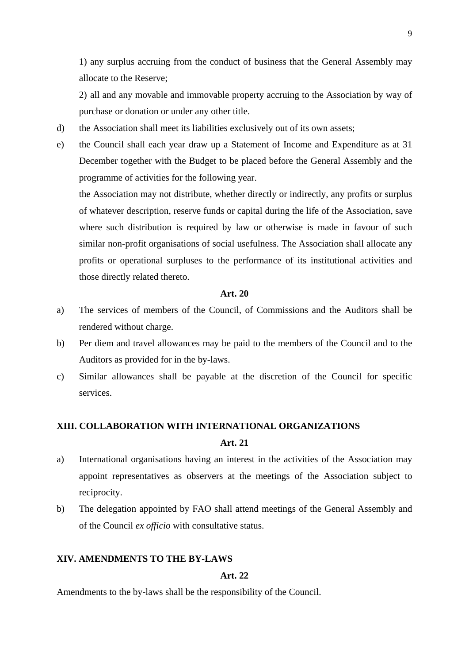1) any surplus accruing from the conduct of business that the General Assembly may allocate to the Reserve;

2) all and any movable and immovable property accruing to the Association by way of purchase or donation or under any other title.

- d) the Association shall meet its liabilities exclusively out of its own assets;
- e) the Council shall each year draw up a Statement of Income and Expenditure as at 31 December together with the Budget to be placed before the General Assembly and the programme of activities for the following year.

the Association may not distribute, whether directly or indirectly, any profits or surplus of whatever description, reserve funds or capital during the life of the Association, save where such distribution is required by law or otherwise is made in favour of such similar non-profit organisations of social usefulness. The Association shall allocate any profits or operational surpluses to the performance of its institutional activities and those directly related thereto.

#### **Art. 20**

- a) The services of members of the Council, of Commissions and the Auditors shall be rendered without charge.
- b) Per diem and travel allowances may be paid to the members of the Council and to the Auditors as provided for in the by-laws.
- c) Similar allowances shall be payable at the discretion of the Council for specific services.

# **XIII. COLLABORATION WITH INTERNATIONAL ORGANIZATIONS**

#### **Art. 21**

- a) International organisations having an interest in the activities of the Association may appoint representatives as observers at the meetings of the Association subject to reciprocity.
- b) The delegation appointed by FAO shall attend meetings of the General Assembly and of the Council *ex officio* with consultative status.

# **XIV. AMENDMENTS TO THE BY-LAWS**

# **Art. 22**

Amendments to the by-laws shall be the responsibility of the Council.